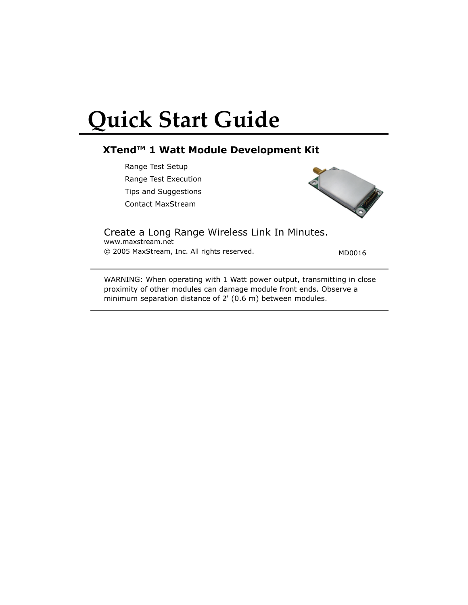# **Quick Start Guide**

## **XTend™ 1 Watt Module Development Kit**

Range Test Setup Range Test Execution Tips and Suggestions Contact MaxStream



www.maxstream.net Create a Long Range Wireless Link In Minutes.

© 2005 MaxStream, Inc. All rights reserved. MD0016

WARNING: When operating with 1 Watt power output, transmitting in close proximity of other modules can damage module front ends. Observe a minimum separation distance of 2' (0.6 m) between modules.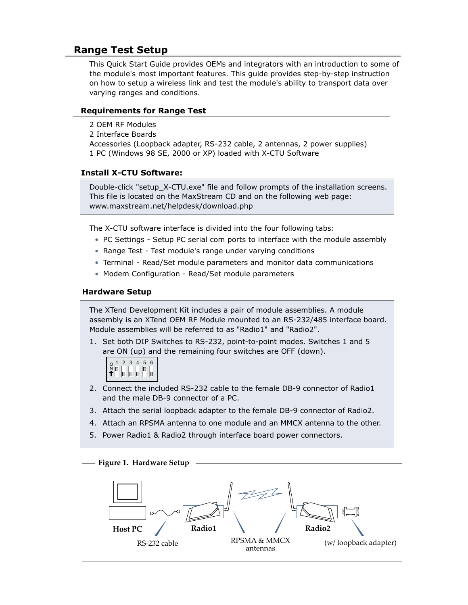# **Range Test Setup**

This Quick Start Guide provides OEMs and integrators with an introduction to some of the module's most important features. This guide provides step-by-step instruction on how to setup a wireless link and test the module's ability to transport data over varying ranges and conditions.

## **Requirements for Range Test**

2 OEM RF Modules 2 Interface Boards Accessories (Loopback adapter, RS-232 cable, 2 antennas, 2 power supplies) 1 PC (Windows 98 SE, 2000 or XP) loaded with X-CTU Software

## **Install X-CTU Software:**

Double-click "setup\_X-CTU.exe" file and follow prompts of the installation screens. This file is located on the MaxStream CD and on the following web page: www.maxstream.net/helpdesk/download.php

The X-CTU software interface is divided into the four following tabs:

- PC Settings Setup PC serial com ports to interface with the module assembly
- Range Test Test module's range under varying conditions
- Terminal Read/Set module parameters and monitor data communications
- Modem Configuration Read/Set module parameters

## **Hardware Setup**

The XTend Development Kit includes a pair of module assemblies. A module assembly is an XTend OEM RF Module mounted to an RS-232/485 interface board. Module assemblies will be referred to as "Radio1" and "Radio2".

1. Set both DIP Switches to RS-232, point-to-point modes. Switches 1 and 5 are ON (up) and the remaining four switches are OFF (down).



- 2. Connect the included RS-232 cable to the female DB-9 connector of Radio1 and the male DB-9 connector of a PC.
- 3. Attach the serial loopback adapter to the female DB-9 connector of Radio2.
- 4. Attach an RPSMA antenna to one module and an MMCX antenna to the other.
- 5. Power Radio1 & Radio2 through interface board power connectors.

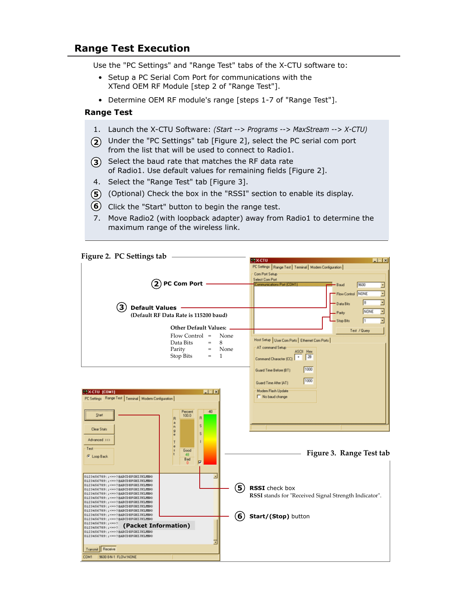## **Range Test Execution**

Use the "PC Settings" and "Range Test" tabs of the X-CTU software to:

- Setup a PC Serial Com Port for communications with the XTend OEM RF Module [step 2 of "Range Test"].
- Determine OEM RF module's range [steps 1-7 of "Range Test"].

#### **Range Test**

- 1. Launch the X-CTU Software: *(Start --> Programs --> MaxStream --> X-CTU)*
- Under the "PC Settings" tab [Figure 2], select the PC serial com port **2** from the list that will be used to connect to Radio1.
- **3** Select the baud rate that matches the RF data rate of Radio1. Use default values for remaining fields [Figure 2].
- 4. Select the "Range Test" tab [Figure 3].
- (Optional) Check the box in the "RSSI" section to enable its display. **5**
- Click the "Start" button to begin the range test. **6**
- 7. Move Radio2 (with loopback adapter) away from Radio1 to determine the maximum range of the wireless link.